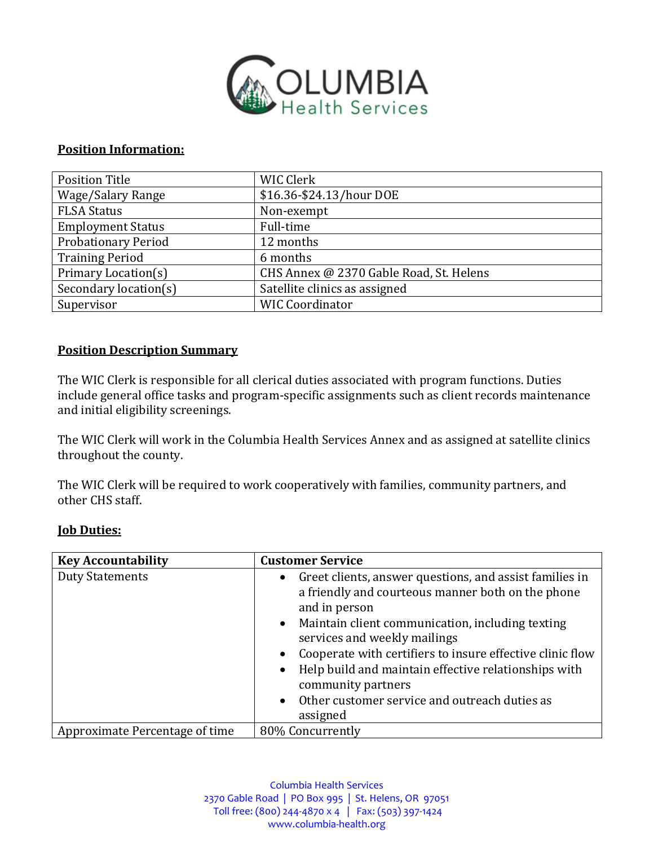

## **Position Information:**

| <b>Position Title</b>      | WIC Clerk                               |  |  |  |
|----------------------------|-----------------------------------------|--|--|--|
| Wage/Salary Range          | \$16.36-\$24.13/hour DOE                |  |  |  |
| <b>FLSA Status</b>         | Non-exempt                              |  |  |  |
| <b>Employment Status</b>   | Full-time                               |  |  |  |
| <b>Probationary Period</b> | 12 months                               |  |  |  |
| <b>Training Period</b>     | 6 months                                |  |  |  |
| Primary Location(s)        | CHS Annex @ 2370 Gable Road, St. Helens |  |  |  |
| Secondary location(s)      | Satellite clinics as assigned           |  |  |  |
| Supervisor                 | <b>WIC Coordinator</b>                  |  |  |  |

## **Position Description Summary**

The WIC Clerk is responsible for all clerical duties associated with program functions. Duties include general office tasks and program-specific assignments such as client records maintenance and initial eligibility screenings.

The WIC Clerk will work in the Columbia Health Services Annex and as assigned at satellite clinics throughout the county.

The WIC Clerk will be required to work cooperatively with families, community partners, and other CHS staff.

## **Job Duties:**

| <b>Key Accountability</b>      | <b>Customer Service</b>                                                                                                                                                                                                                                                                                                                                                                                                           |  |  |
|--------------------------------|-----------------------------------------------------------------------------------------------------------------------------------------------------------------------------------------------------------------------------------------------------------------------------------------------------------------------------------------------------------------------------------------------------------------------------------|--|--|
| <b>Duty Statements</b>         | • Greet clients, answer questions, and assist families in<br>a friendly and courteous manner both on the phone<br>and in person<br>• Maintain client communication, including texting<br>services and weekly mailings<br>Cooperate with certifiers to insure effective clinic flow<br>• Help build and maintain effective relationships with<br>community partners<br>• Other customer service and outreach duties as<br>assigned |  |  |
| Approximate Percentage of time | 80% Concurrently                                                                                                                                                                                                                                                                                                                                                                                                                  |  |  |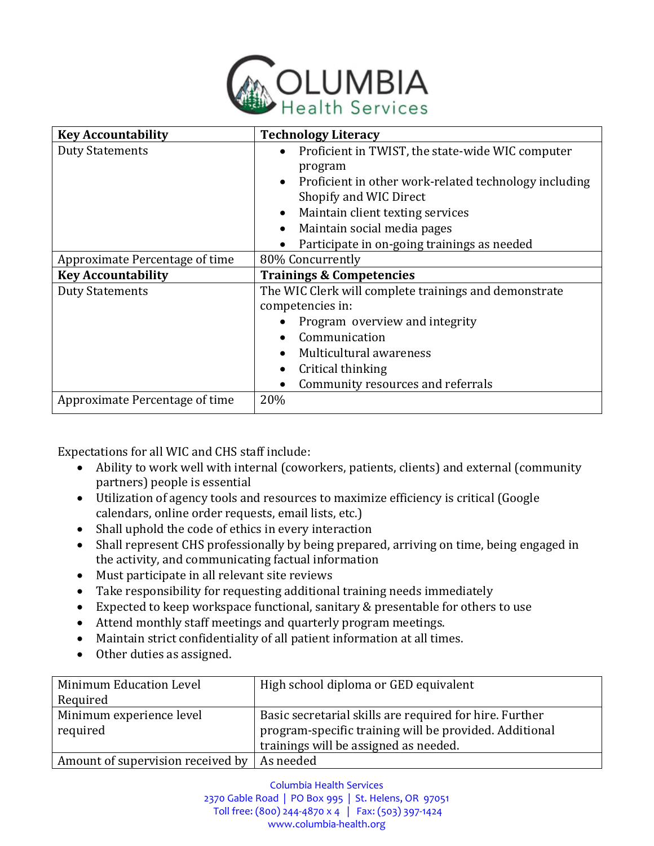

| <b>Key Accountability</b>      | <b>Technology Literacy</b>                                                                                                                                                                                                                                            |  |  |  |
|--------------------------------|-----------------------------------------------------------------------------------------------------------------------------------------------------------------------------------------------------------------------------------------------------------------------|--|--|--|
| <b>Duty Statements</b>         | Proficient in TWIST, the state-wide WIC computer<br>$\bullet$<br>program<br>Proficient in other work-related technology including<br>$\bullet$<br>Shopify and WIC Direct                                                                                              |  |  |  |
|                                | Maintain client texting services<br>$\bullet$                                                                                                                                                                                                                         |  |  |  |
|                                | Maintain social media pages<br>$\bullet$<br>Participate in on-going trainings as needed                                                                                                                                                                               |  |  |  |
| Approximate Percentage of time | 80% Concurrently                                                                                                                                                                                                                                                      |  |  |  |
| <b>Key Accountability</b>      | <b>Trainings &amp; Competencies</b>                                                                                                                                                                                                                                   |  |  |  |
| <b>Duty Statements</b>         | The WIC Clerk will complete trainings and demonstrate<br>competencies in:<br>Program overview and integrity<br>Communication<br>$\bullet$<br>Multicultural awareness<br>$\bullet$<br>Critical thinking<br>$\bullet$<br>Community resources and referrals<br>$\bullet$ |  |  |  |
| Approximate Percentage of time | 20%                                                                                                                                                                                                                                                                   |  |  |  |

Expectations for all WIC and CHS staff include:

- Ability to work well with internal (coworkers, patients, clients) and external (community partners) people is essential
- Utilization of agency tools and resources to maximize efficiency is critical (Google calendars, online order requests, email lists, etc.)
- Shall uphold the code of ethics in every interaction
- Shall represent CHS professionally by being prepared, arriving on time, being engaged in the activity, and communicating factual information
- Must participate in all relevant site reviews
- Take responsibility for requesting additional training needs immediately
- Expected to keep workspace functional, sanitary & presentable for others to use
- Attend monthly staff meetings and quarterly program meetings.
- Maintain strict confidentiality of all patient information at all times.
- Other duties as assigned.

| Minimum Education Level                       | High school diploma or GED equivalent                   |  |
|-----------------------------------------------|---------------------------------------------------------|--|
| Required                                      |                                                         |  |
| Minimum experience level                      | Basic secretarial skills are required for hire. Further |  |
| required                                      | program-specific training will be provided. Additional  |  |
|                                               | trainings will be assigned as needed.                   |  |
| Amount of supervision received by   As needed |                                                         |  |